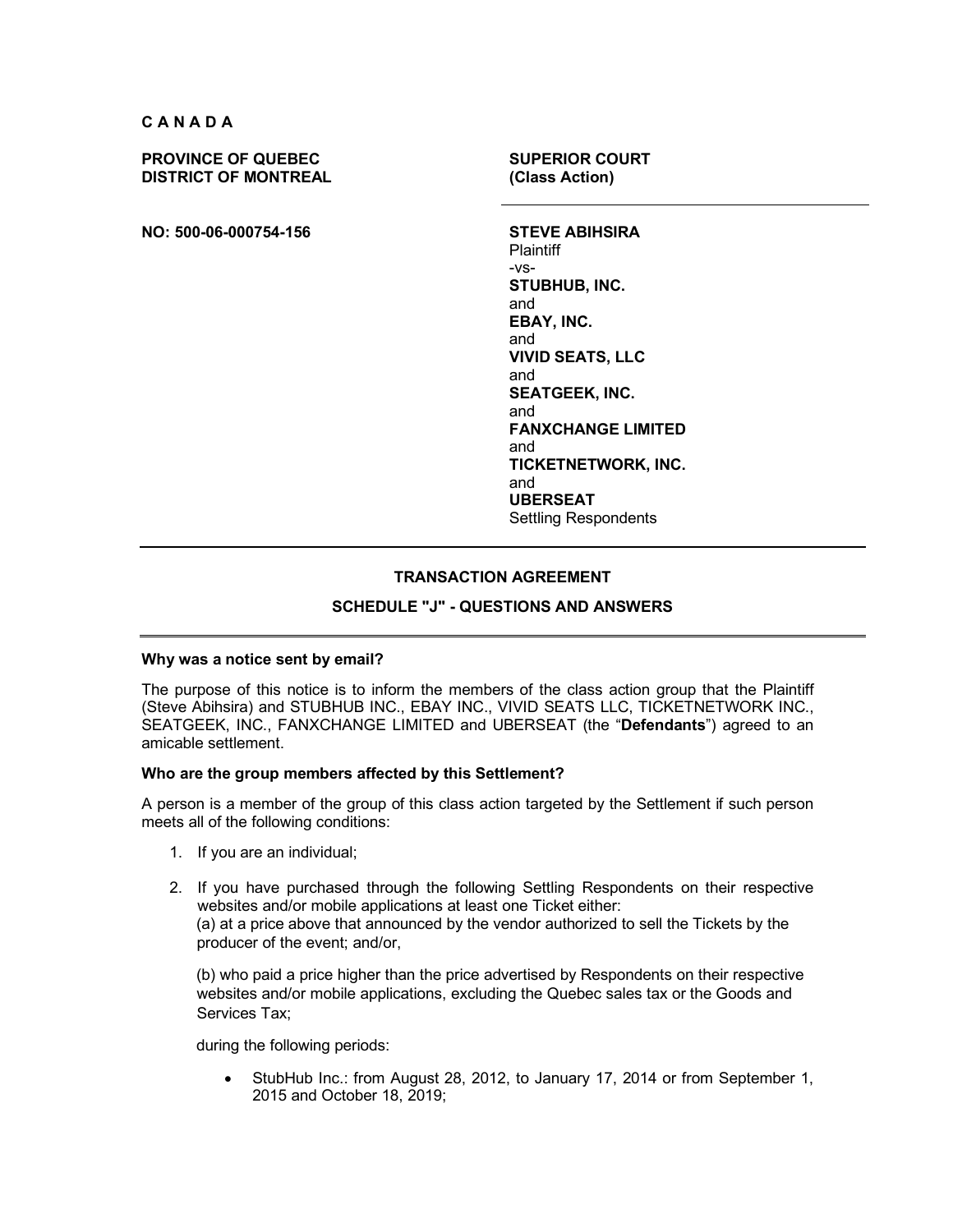**CANADA**

**PROVINCE OF QUEBEC DISTRICT OF MONTREAL**

**NO: 500-06-000754-156 STEVE ABIHSIRA**

**SUPERIOR COURT (Class Action)**

**Plaintiff** -vs-**STUBHUB, INC.** and **EBAY, INC.** and **VIVID SEATS, LLC** and **SEATGEEK, INC.** and **FANXCHANGE LIMITED** and **TICKETNETWORK, INC.** and **UBERSEAT** Settling Respondents

# **TRANSACTION AGREEMENT**

# **SCHEDULE "J" - QUESTIONS AND ANSWERS**

#### **Why was a notice sent by email?**

The purpose of this notice is to inform the members of the class action group that the Plaintiff (Steve Abihsira) and STUBHUB INC., EBAY INC., VIVID SEATS LLC, TICKETNETWORK INC., SEATGEEK, INC., FANXCHANGE LIMITED and UBERSEAT (the "**Defendants**") agreed to an amicable settlement.

#### **Who are the group members affected by this Settlement?**

A person is a member of the group of this class action targeted by the Settlement if such person meets all of the following conditions:

- 1. If you are an individual;
- 2. If you have purchased through the following Settling Respondents on their respective websites and/or mobile applications at least one Ticket either: (a) at a price above that announced by the vendor authorized to sell the Tickets by the producer of the event; and/or,

(b) who paid a price higher than the price advertised by Respondents on their respective websites and/or mobile applications, excluding the Quebec sales tax or the Goods and Services Tax;

during the following periods:

• StubHub Inc.: from August 28, 2012, to January 17, 2014 or from September 1, 2015 and October 18, 2019;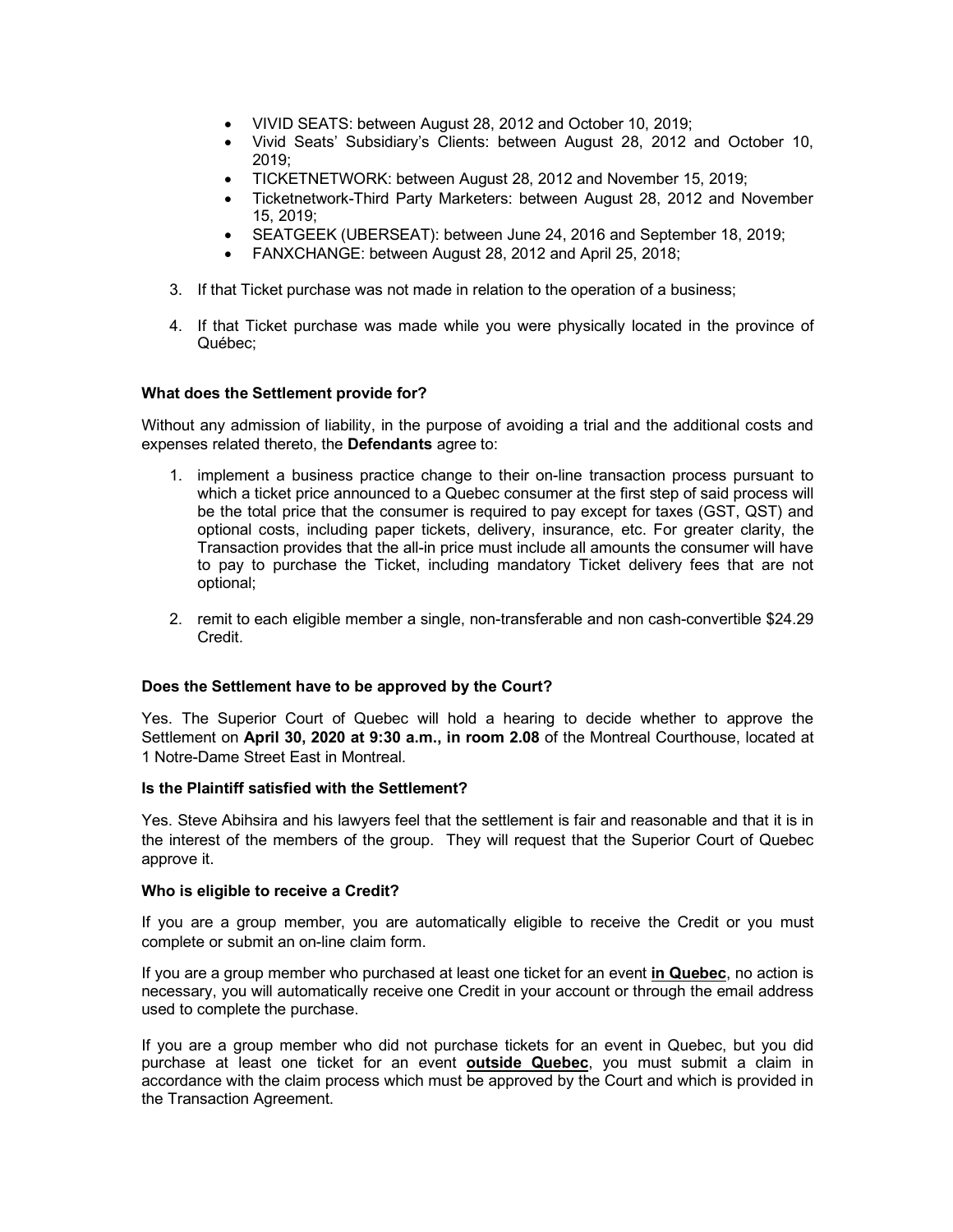- VIVID SEATS: between August 28, 2012 and October 10, 2019;
- Vivid Seats' Subsidiary's Clients: between August 28, 2012 and October 10, 2019;
- TICKETNETWORK: between August 28, 2012 and November 15, 2019;
- Ticketnetwork-Third Party Marketers: between August 28, 2012 and November 15, 2019;
- SEATGEEK (UBERSEAT): between June 24, 2016 and September 18, 2019;
- FANXCHANGE: between August 28, 2012 and April 25, 2018;
- 3. If that Ticket purchase was not made in relation to the operation of a business;
- 4. If that Ticket purchase was made while you were physically located in the province of Québec;

## **What does the Settlement provide for?**

Without any admission of liability, in the purpose of avoiding a trial and the additional costs and expenses related thereto, the **Defendants** agree to:

- 1. implement a business practice change to their on-line transaction process pursuant to which a ticket price announced to a Quebec consumer at the first step of said process will be the total price that the consumer is required to pay except for taxes (GST, QST) and optional costs, including paper tickets, delivery, insurance, etc. For greater clarity, the Transaction provides that the all-in price must include all amounts the consumer will have to pay to purchase the Ticket, including mandatory Ticket delivery fees that are not optional;
- 2. remit to each eligible member a single, non-transferable and non cash-convertible \$24.29 Credit.

## **Does the Settlement have to be approved by the Court?**

Yes. The Superior Court of Quebec will hold a hearing to decide whether to approve the Settlement on **April 30, 2020 at 9:30 a.m., in room 2.08** of the Montreal Courthouse, located at 1 Notre-Dame Street East in Montreal.

## **Is the Plaintiff satisfied with the Settlement?**

Yes. Steve Abihsira and his lawyers feel that the settlement is fair and reasonable and that it is in the interest of the members of the group. They will request that the Superior Court of Quebec approve it.

## **Who is eligible to receive a Credit?**

If you are a group member, you are automatically eligible to receive the Credit or you must complete or submit an on-line claim form.

If you are a group member who purchased at least one ticket for an event **in Quebec**, no action is necessary, you will automatically receive one Credit in your account or through the email address used to complete the purchase.

If you are a group member who did not purchase tickets for an event in Quebec, but you did purchase at least one ticket for an event **outside Quebec**, you must submit a claim in accordance with the claim process which must be approved by the Court and which is provided in the Transaction Agreement.